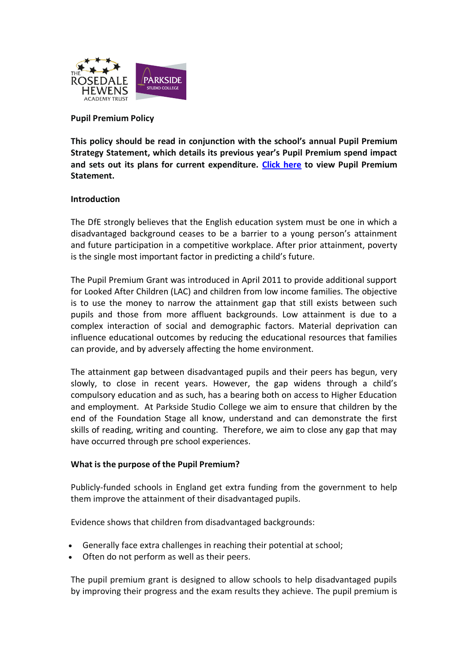

# **Pupil Premium Policy**

**This policy should be read in conjunction with the school's annual Pupil Premium Strategy Statement, which details its previous year's Pupil Premium spend impact and sets out its plans for current expenditure. [Click here](https://www.the-trust-governor.co.uk/documents/202111030836430.PS%20Pupil%20Premim%20Strategy%20Statement%202020%20to%202022%20.pdf) to view Pupil Premium Statement.** 

## **Introduction**

The DfE strongly believes that the English education system must be one in which a disadvantaged background ceases to be a barrier to a young person's attainment and future participation in a competitive workplace. After prior attainment, poverty is the single most important factor in predicting a child's future.

The Pupil Premium Grant was introduced in April 2011 to provide additional support for Looked After Children (LAC) and children from low income families. The objective is to use the money to narrow the attainment gap that still exists between such pupils and those from more affluent backgrounds. Low attainment is due to a complex interaction of social and demographic factors. Material deprivation can influence educational outcomes by reducing the educational resources that families can provide, and by adversely affecting the home environment.

The attainment gap between disadvantaged pupils and their peers has begun, very slowly, to close in recent years. However, the gap widens through a child's compulsory education and as such, has a bearing both on access to Higher Education and employment. At Parkside Studio College we aim to ensure that children by the end of the Foundation Stage all know, understand and can demonstrate the first skills of reading, writing and counting. Therefore, we aim to close any gap that may have occurred through pre school experiences.

## **What is the purpose of the Pupil Premium?**

Publicly-funded schools in England get extra funding from the government to help them improve the attainment of their disadvantaged pupils.

Evidence shows that children from disadvantaged backgrounds:

- Generally face extra challenges in reaching their potential at school;
- Often do not perform as well as their peers.

The pupil premium grant is designed to allow schools to help disadvantaged pupils by improving their progress and the exam results they achieve. The pupil premium is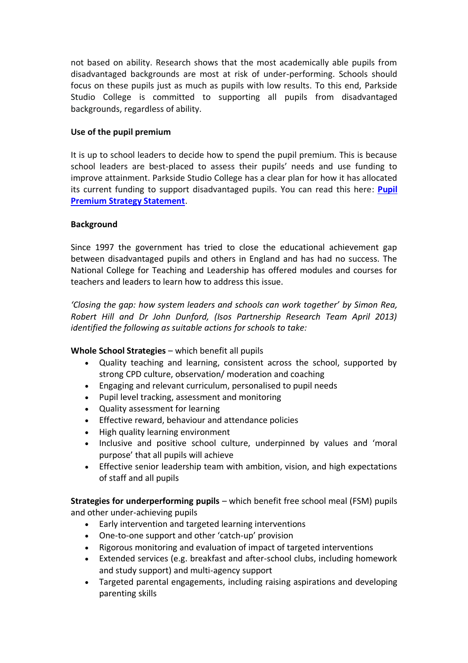not based on ability. Research shows that the most academically able pupils from disadvantaged backgrounds are most at risk of under-performing. Schools should focus on these pupils just as much as pupils with low results. To this end, Parkside Studio College is committed to supporting all pupils from disadvantaged backgrounds, regardless of ability.

# **Use of the pupil premium**

It is up to school leaders to decide how to spend the pupil premium. This is because school leaders are best-placed to assess their pupils' needs and use funding to improve attainment. Parkside Studio College has a clear plan for how it has allocated its current funding to support disadvantaged pupils. You can read this here: **[Pupil](https://www.the-trust-governor.co.uk/documents/202111030836430.PS%20Pupil%20Premim%20Strategy%20Statement%202020%20to%202022%20.pdf)  [Premium Strategy Statement](https://www.the-trust-governor.co.uk/documents/202111030836430.PS%20Pupil%20Premim%20Strategy%20Statement%202020%20to%202022%20.pdf)**.

# **Background**

Since 1997 the government has tried to close the educational achievement gap between disadvantaged pupils and others in England and has had no success. The National College for Teaching and Leadership has offered modules and courses for teachers and leaders to learn how to address this issue.

*'Closing the gap: how system leaders and schools can work together' by Simon Rea, Robert Hill and Dr John Dunford, (Isos Partnership Research Team April 2013) identified the following as suitable actions for schools to take:*

**Whole School Strategies** – which benefit all pupils

- Quality teaching and learning, consistent across the school, supported by strong CPD culture, observation/ moderation and coaching
- Engaging and relevant curriculum, personalised to pupil needs
- Pupil level tracking, assessment and monitoring
- Quality assessment for learning
- Effective reward, behaviour and attendance policies
- High quality learning environment
- Inclusive and positive school culture, underpinned by values and 'moral purpose' that all pupils will achieve
- Effective senior leadership team with ambition, vision, and high expectations of staff and all pupils

**Strategies for underperforming pupils** – which benefit free school meal (FSM) pupils and other under-achieving pupils

- Early intervention and targeted learning interventions
- One-to-one support and other 'catch-up' provision
- Rigorous monitoring and evaluation of impact of targeted interventions
- Extended services (e.g. breakfast and after-school clubs, including homework and study support) and multi-agency support
- Targeted parental engagements, including raising aspirations and developing parenting skills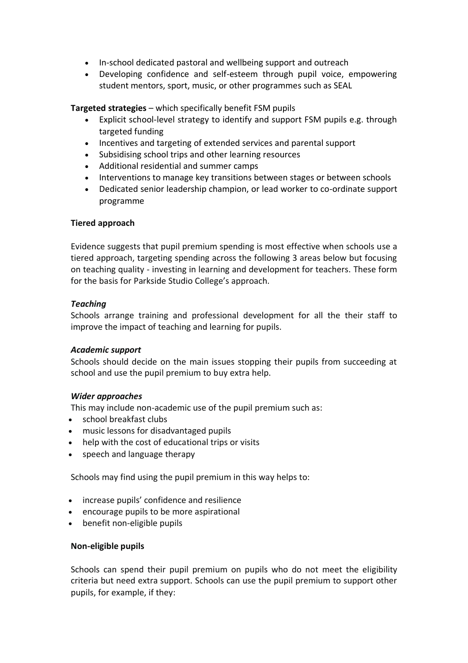- In-school dedicated pastoral and wellbeing support and outreach
- Developing confidence and self-esteem through pupil voice, empowering student mentors, sport, music, or other programmes such as SEAL

**Targeted strategies** – which specifically benefit FSM pupils

- Explicit school-level strategy to identify and support FSM pupils e.g. through targeted funding
- Incentives and targeting of extended services and parental support
- Subsidising school trips and other learning resources
- Additional residential and summer camps
- Interventions to manage key transitions between stages or between schools
- Dedicated senior leadership champion, or lead worker to co-ordinate support programme

#### **Tiered approach**

Evidence suggests that pupil premium spending is most effective when schools use a tiered approach, targeting spending across the following 3 areas below but focusing on teaching quality - investing in learning and development for teachers. These form for the basis for Parkside Studio College's approach.

#### *Teaching*

Schools arrange training and professional development for all the their staff to improve the impact of teaching and learning for pupils.

## *Academic support*

Schools should decide on the main issues stopping their pupils from succeeding at school and use the pupil premium to buy extra help.

## *Wider approaches*

This may include non-academic use of the pupil premium such as:

- school breakfast clubs
- music lessons for disadvantaged pupils
- help with the cost of educational trips or visits
- speech and language therapy

Schools may find using the pupil premium in this way helps to:

- increase pupils' confidence and resilience
- encourage pupils to be more aspirational
- benefit non-eligible pupils

#### **Non-eligible pupils**

Schools can spend their pupil premium on pupils who do not meet the eligibility criteria but need extra support. Schools can use the pupil premium to support other pupils, for example, if they: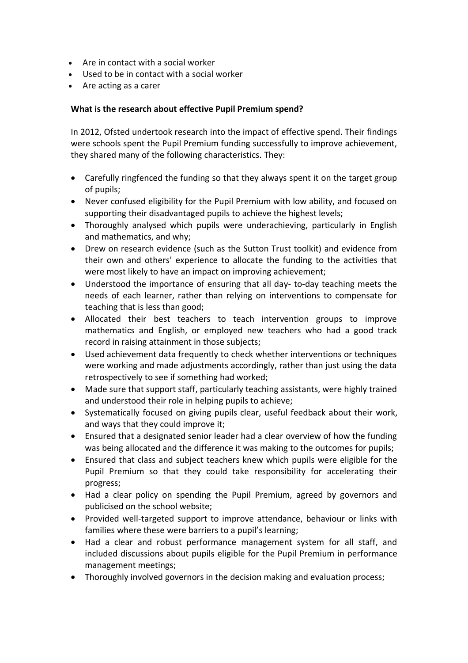- Are in contact with a social worker
- Used to be in contact with a social worker
- Are acting as a carer

## **What is the research about effective Pupil Premium spend?**

In 2012, Ofsted undertook research into the impact of effective spend. Their findings were schools spent the Pupil Premium funding successfully to improve achievement, they shared many of the following characteristics. They:

- Carefully ringfenced the funding so that they always spent it on the target group of pupils;
- Never confused eligibility for the Pupil Premium with low ability, and focused on supporting their disadvantaged pupils to achieve the highest levels;
- Thoroughly analysed which pupils were underachieving, particularly in English and mathematics, and why;
- Drew on research evidence (such as the Sutton Trust toolkit) and evidence from their own and others' experience to allocate the funding to the activities that were most likely to have an impact on improving achievement;
- Understood the importance of ensuring that all day- to-day teaching meets the needs of each learner, rather than relying on interventions to compensate for teaching that is less than good;
- Allocated their best teachers to teach intervention groups to improve mathematics and English, or employed new teachers who had a good track record in raising attainment in those subjects;
- Used achievement data frequently to check whether interventions or techniques were working and made adjustments accordingly, rather than just using the data retrospectively to see if something had worked;
- Made sure that support staff, particularly teaching assistants, were highly trained and understood their role in helping pupils to achieve;
- Systematically focused on giving pupils clear, useful feedback about their work, and ways that they could improve it;
- Ensured that a designated senior leader had a clear overview of how the funding was being allocated and the difference it was making to the outcomes for pupils;
- Ensured that class and subject teachers knew which pupils were eligible for the Pupil Premium so that they could take responsibility for accelerating their progress;
- Had a clear policy on spending the Pupil Premium, agreed by governors and publicised on the school website;
- Provided well-targeted support to improve attendance, behaviour or links with families where these were barriers to a pupil's learning;
- Had a clear and robust performance management system for all staff, and included discussions about pupils eligible for the Pupil Premium in performance management meetings;
- Thoroughly involved governors in the decision making and evaluation process;